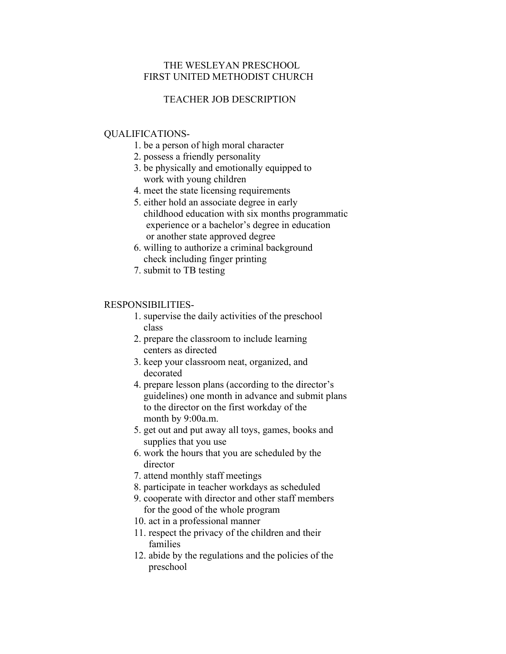# THE WESLEYAN PRESCHOOL FIRST UNITED METHODIST CHURCH

# TEACHER JOB DESCRIPTION

### QUALIFICATIONS-

- 1. be a person of high moral character
- 2. possess a friendly personality
- 3. be physically and emotionally equipped to work with young children
- 4. meet the state licensing requirements
- 5. either hold an associate degree in early childhood education with six months programmatic experience or a bachelor's degree in education or another state approved degree
- 6. willing to authorize a criminal background check including finger printing
- 7. submit to TB testing

#### RESPONSIBILITIES-

- 1. supervise the daily activities of the preschool class
- 2. prepare the classroom to include learning centers as directed
- 3. keep your classroom neat, organized, and decorated
- 4. prepare lesson plans (according to the director's guidelines) one month in advance and submit plans to the director on the first workday of the month by 9:00a.m.
- 5. get out and put away all toys, games, books and supplies that you use
- 6. work the hours that you are scheduled by the director
- 7. attend monthly staff meetings
- 8. participate in teacher workdays as scheduled
- 9. cooperate with director and other staff members for the good of the whole program
- 10. act in a professional manner
- 11. respect the privacy of the children and their families
- 12. abide by the regulations and the policies of the preschool